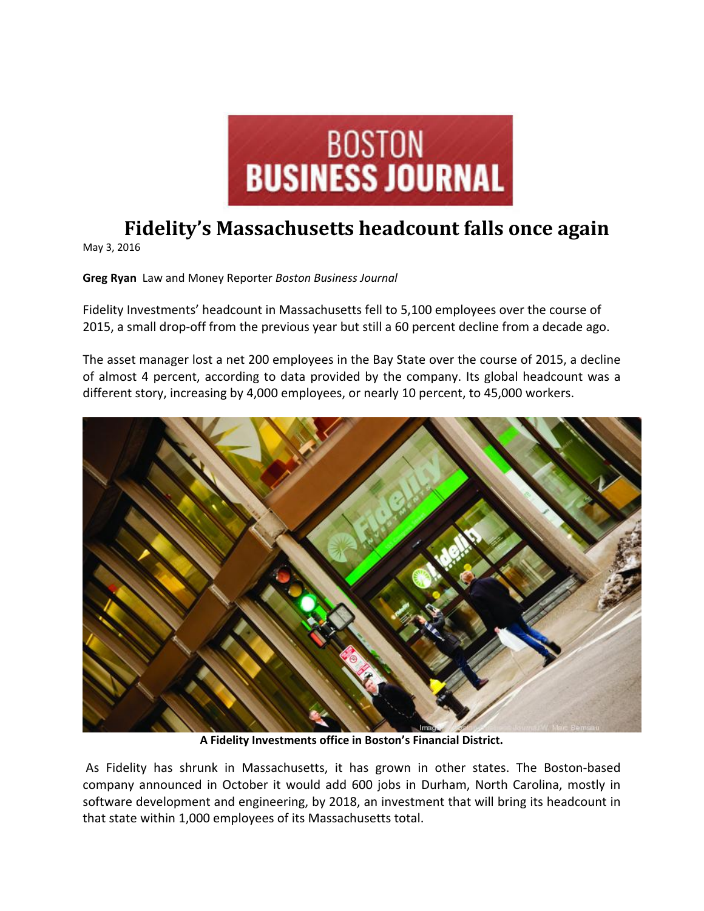

## **Fidelity's Massachusetts headcount falls once again**

May 3, 2016

**Greg Ryan** Law and Money Reporter *Boston Business Journal*

Fidelity Investments' headcount in Massachusetts fell to 5,100 employees over the course of 2015, a small drop-off from the previous year but still a 60 percent decline from a decade ago.

The asset manager lost a net 200 employees in the Bay State over the course of 2015, a decline of almost 4 percent, according to data provided by the company. Its global headcount was a different story, increasing by 4,000 employees, or nearly 10 percent, to 45,000 workers.



**A Fidelity Investments office in Boston's Financial District.**

As Fidelity has shrunk in Massachusetts, it has grown in other states. The Boston‐based company announced in October it would add 600 jobs in Durham, North Carolina, mostly in software development and engineering, by 2018, an investment that will bring its headcount in that state within 1,000 employees of its Massachusetts total.